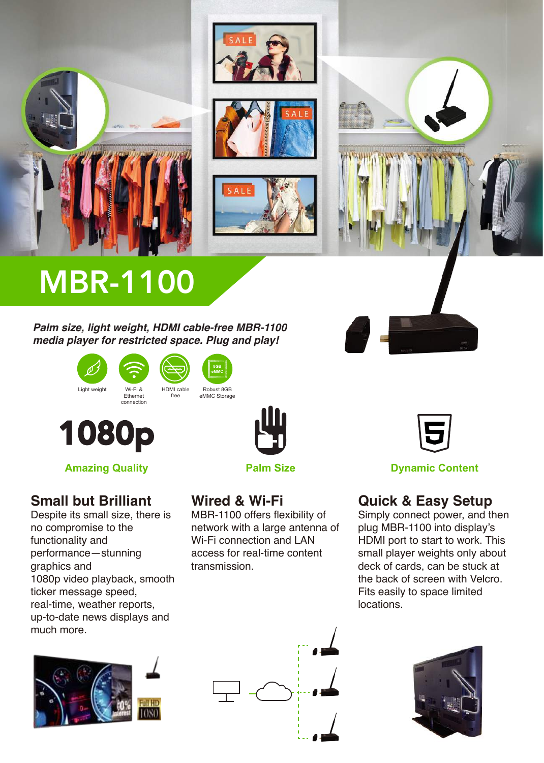





# MBR-1100

*Palm size, light weight, HDMI cable-free MBR-1100 media player for restricted space. Plug and play!*







# **Small but Brilliant**

Despite its small size, there is no compromise to the functionality and performance—stunning graphics and 1080p video playback, smooth ticker message speed, real-time, weather reports, up-to-date news displays and much more.





**Palm Size**

# **Wired & Wi-Fi**

MBR-1100 offers flexibility of network with a large antenna of Wi-Fi connection and LAN access for real-time content transmission.



**Amazing Quality Dynamic Content Palm Size Dynamic Content** 

# **Quick & Easy Setup**

Simply connect power, and then plug MBR-1100 into display's HDMI port to start to work. This small player weights only about deck of cards, can be stuck at the back of screen with Velcro. Fits easily to space limited locations.